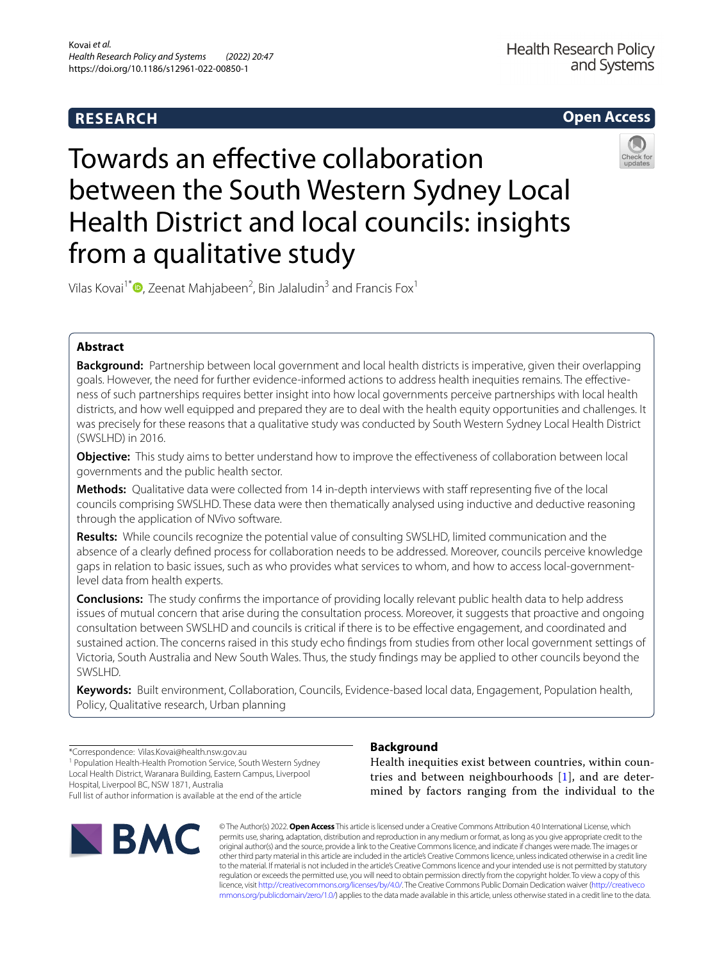# **RESEARCH**



# Towards an efective collaboration between the South Western Sydney Local Health District and local councils: insights from a qualitative study



Vilas Kovai<sup>1\*</sup> $\bm{\mathbb{O}}$ [,](http://orcid.org/0000-0002-2672-9970) Zeenat Mahjabeen<sup>2</sup>, Bin Jalaludin<sup>3</sup> and Francis Fox<sup>1</sup>

# **Abstract**

**Background:** Partnership between local government and local health districts is imperative, given their overlapping goals. However, the need for further evidence-informed actions to address health inequities remains. The efectiveness of such partnerships requires better insight into how local governments perceive partnerships with local health districts, and how well equipped and prepared they are to deal with the health equity opportunities and challenges. It was precisely for these reasons that a qualitative study was conducted by South Western Sydney Local Health District (SWSLHD) in 2016.

**Objective:** This study aims to better understand how to improve the efectiveness of collaboration between local governments and the public health sector.

**Methods:** Qualitative data were collected from 14 in-depth interviews with staff representing five of the local councils comprising SWSLHD. These data were then thematically analysed using inductive and deductive reasoning through the application of NVivo software.

**Results:** While councils recognize the potential value of consulting SWSLHD, limited communication and the absence of a clearly defned process for collaboration needs to be addressed. Moreover, councils perceive knowledge gaps in relation to basic issues, such as who provides what services to whom, and how to access local-governmentlevel data from health experts.

**Conclusions:** The study confrms the importance of providing locally relevant public health data to help address issues of mutual concern that arise during the consultation process. Moreover, it suggests that proactive and ongoing consultation between SWSLHD and councils is critical if there is to be efective engagement, and coordinated and sustained action. The concerns raised in this study echo fndings from studies from other local government settings of Victoria, South Australia and New South Wales. Thus, the study fndings may be applied to other councils beyond the SWSLHD.

**Keywords:** Built environment, Collaboration, Councils, Evidence-based local data, Engagement, Population health, Policy, Qualitative research, Urban planning

\*Correspondence: Vilas.Kovai@health.nsw.gov.au <sup>1</sup> Population Health-Health Promotion Service, South Western Sydney Local Health District, Waranara Building, Eastern Campus, Liverpool Hospital, Liverpool BC, NSW 1871, Australia Full list of author information is available at the end of the article



# **Background**

Health inequities exist between countries, within countries and between neighbourhoods [\[1](#page-8-0)], and are determined by factors ranging from the individual to the

© The Author(s) 2022. **Open Access** This article is licensed under a Creative Commons Attribution 4.0 International License, which permits use, sharing, adaptation, distribution and reproduction in any medium or format, as long as you give appropriate credit to the original author(s) and the source, provide a link to the Creative Commons licence, and indicate if changes were made. The images or other third party material in this article are included in the article's Creative Commons licence, unless indicated otherwise in a credit line to the material. If material is not included in the article's Creative Commons licence and your intended use is not permitted by statutory regulation or exceeds the permitted use, you will need to obtain permission directly from the copyright holder. To view a copy of this licence, visit [http://creativecommons.org/licenses/by/4.0/.](http://creativecommons.org/licenses/by/4.0/) The Creative Commons Public Domain Dedication waiver ([http://creativeco](http://creativecommons.org/publicdomain/zero/1.0/) [mmons.org/publicdomain/zero/1.0/](http://creativecommons.org/publicdomain/zero/1.0/)) applies to the data made available in this article, unless otherwise stated in a credit line to the data.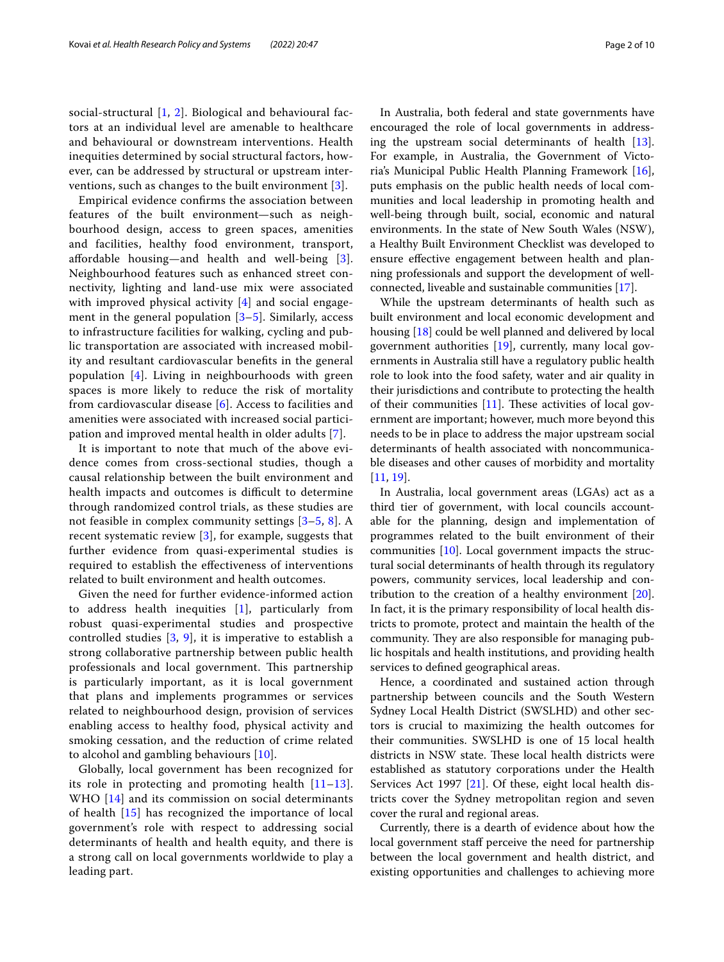social-structural [[1,](#page-8-0) [2\]](#page-8-1). Biological and behavioural factors at an individual level are amenable to healthcare and behavioural or downstream interventions. Health inequities determined by social structural factors, however, can be addressed by structural or upstream interventions, such as changes to the built environment [[3\]](#page-8-2).

Empirical evidence confrms the association between features of the built environment—such as neighbourhood design, access to green spaces, amenities and facilities, healthy food environment, transport, afordable housing—and health and well-being [[3\]](#page-8-2). Neighbourhood features such as enhanced street connectivity, lighting and land-use mix were associated with improved physical activity [[4\]](#page-8-3) and social engagement in the general population  $[3-5]$  $[3-5]$ . Similarly, access to infrastructure facilities for walking, cycling and public transportation are associated with increased mobility and resultant cardiovascular benefts in the general population [[4\]](#page-8-3). Living in neighbourhoods with green spaces is more likely to reduce the risk of mortality from cardiovascular disease [[6\]](#page-8-5). Access to facilities and amenities were associated with increased social participation and improved mental health in older adults [[7](#page-8-6)].

It is important to note that much of the above evidence comes from cross-sectional studies, though a causal relationship between the built environment and health impacts and outcomes is difficult to determine through randomized control trials, as these studies are not feasible in complex community settings [\[3](#page-8-2)–[5,](#page-8-4) [8\]](#page-8-7). A recent systematic review [\[3](#page-8-2)], for example, suggests that further evidence from quasi-experimental studies is required to establish the efectiveness of interventions related to built environment and health outcomes.

Given the need for further evidence-informed action to address health inequities [\[1](#page-8-0)], particularly from robust quasi-experimental studies and prospective controlled studies  $[3, 9]$  $[3, 9]$  $[3, 9]$  $[3, 9]$ , it is imperative to establish a strong collaborative partnership between public health professionals and local government. This partnership is particularly important, as it is local government that plans and implements programmes or services related to neighbourhood design, provision of services enabling access to healthy food, physical activity and smoking cessation, and the reduction of crime related to alcohol and gambling behaviours [\[10](#page-8-9)].

Globally, local government has been recognized for its role in protecting and promoting health [[11–](#page-8-10)[13\]](#page-8-11). WHO [\[14](#page-8-12)] and its commission on social determinants of health [[15\]](#page-8-13) has recognized the importance of local government's role with respect to addressing social determinants of health and health equity, and there is a strong call on local governments worldwide to play a leading part.

In Australia, both federal and state governments have encouraged the role of local governments in addressing the upstream social determinants of health [\[13](#page-8-11)]. For example, in Australia, the Government of Victoria's Municipal Public Health Planning Framework [\[16](#page-8-14)], puts emphasis on the public health needs of local communities and local leadership in promoting health and well-being through built, social, economic and natural environments. In the state of New South Wales (NSW), a Healthy Built Environment Checklist was developed to ensure efective engagement between health and planning professionals and support the development of wellconnected, liveable and sustainable communities [\[17\]](#page-8-15).

While the upstream determinants of health such as built environment and local economic development and housing [[18\]](#page-8-16) could be well planned and delivered by local government authorities [\[19\]](#page-8-17), currently, many local governments in Australia still have a regulatory public health role to look into the food safety, water and air quality in their jurisdictions and contribute to protecting the health of their communities  $[11]$  $[11]$ . These activities of local government are important; however, much more beyond this needs to be in place to address the major upstream social determinants of health associated with noncommunicable diseases and other causes of morbidity and mortality [[11,](#page-8-10) [19](#page-8-17)].

In Australia, local government areas (LGAs) act as a third tier of government, with local councils accountable for the planning, design and implementation of programmes related to the built environment of their communities [[10\]](#page-8-9). Local government impacts the structural social determinants of health through its regulatory powers, community services, local leadership and contribution to the creation of a healthy environment [\[20](#page-9-0)]. In fact, it is the primary responsibility of local health districts to promote, protect and maintain the health of the community. They are also responsible for managing public hospitals and health institutions, and providing health services to defned geographical areas.

Hence, a coordinated and sustained action through partnership between councils and the South Western Sydney Local Health District (SWSLHD) and other sectors is crucial to maximizing the health outcomes for their communities. SWSLHD is one of 15 local health districts in NSW state. These local health districts were established as statutory corporations under the Health Services Act 1997 [[21](#page-9-1)]. Of these, eight local health districts cover the Sydney metropolitan region and seven cover the rural and regional areas.

Currently, there is a dearth of evidence about how the local government staff perceive the need for partnership between the local government and health district, and existing opportunities and challenges to achieving more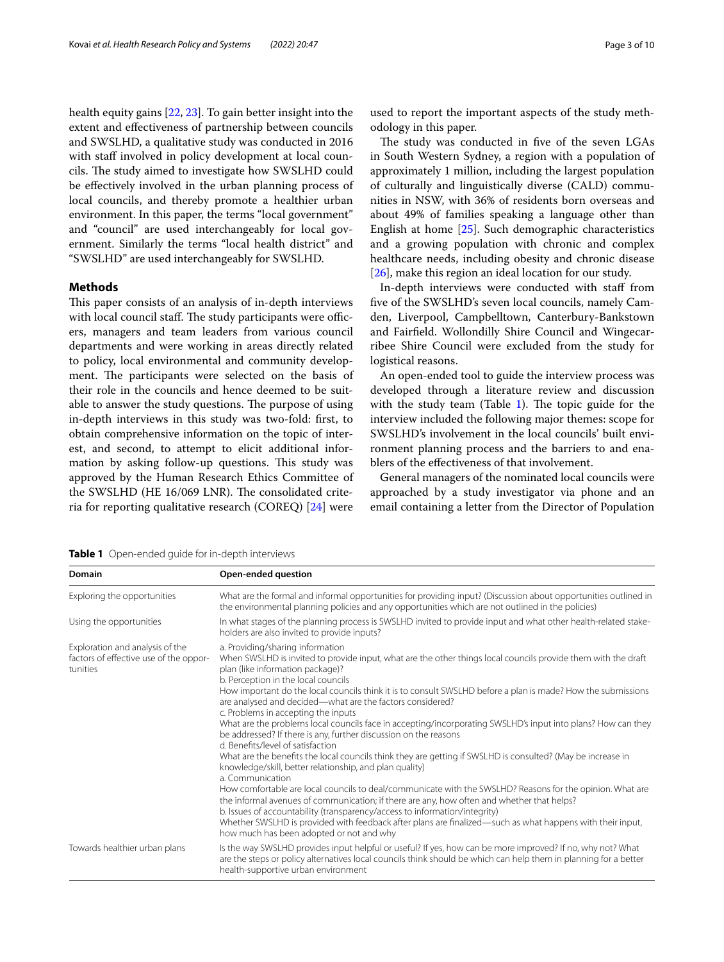health equity gains [[22](#page-9-2), [23\]](#page-9-3). To gain better insight into the extent and efectiveness of partnership between councils and SWSLHD, a qualitative study was conducted in 2016 with staff involved in policy development at local councils. The study aimed to investigate how SWSLHD could be efectively involved in the urban planning process of local councils, and thereby promote a healthier urban environment. In this paper, the terms "local government" and "council" are used interchangeably for local government. Similarly the terms "local health district" and "SWSLHD" are used interchangeably for SWSLHD.

#### **Methods**

This paper consists of an analysis of in-depth interviews with local council staff. The study participants were officers, managers and team leaders from various council departments and were working in areas directly related to policy, local environmental and community development. The participants were selected on the basis of their role in the councils and hence deemed to be suitable to answer the study questions. The purpose of using in-depth interviews in this study was two-fold: frst, to obtain comprehensive information on the topic of interest, and second, to attempt to elicit additional information by asking follow-up questions. This study was approved by the Human Research Ethics Committee of the SWSLHD (HE 16/069 LNR). The consolidated criteria for reporting qualitative research (COREQ) [\[24](#page-9-4)] were used to report the important aspects of the study methodology in this paper.

The study was conducted in five of the seven LGAs in South Western Sydney, a region with a population of approximately 1 million, including the largest population of culturally and linguistically diverse (CALD) communities in NSW, with 36% of residents born overseas and about 49% of families speaking a language other than English at home [[25](#page-9-5)]. Such demographic characteristics and a growing population with chronic and complex healthcare needs, including obesity and chronic disease [[26\]](#page-9-6), make this region an ideal location for our study.

In-depth interviews were conducted with staf from fve of the SWSLHD's seven local councils, namely Camden, Liverpool, Campbelltown, Canterbury-Bankstown and Fairfeld. Wollondilly Shire Council and Wingecarribee Shire Council were excluded from the study for logistical reasons.

An open-ended tool to guide the interview process was developed through a literature review and discussion with the study team (Table  $1$ ). The topic guide for the interview included the following major themes: scope for SWSLHD's involvement in the local councils' built environment planning process and the barriers to and enablers of the efectiveness of that involvement.

General managers of the nominated local councils were approached by a study investigator via phone and an email containing a letter from the Director of Population

<span id="page-2-0"></span>**Table 1** Open-ended guide for in-depth interviews

| <b>Domain</b>                                                                         | Open-ended question                                                                                                                                                                                                                                                                                                                                                                                                                                                                                                                                                                                                                                                                                                                                                                                                                                                                                                                                                                  |  |
|---------------------------------------------------------------------------------------|--------------------------------------------------------------------------------------------------------------------------------------------------------------------------------------------------------------------------------------------------------------------------------------------------------------------------------------------------------------------------------------------------------------------------------------------------------------------------------------------------------------------------------------------------------------------------------------------------------------------------------------------------------------------------------------------------------------------------------------------------------------------------------------------------------------------------------------------------------------------------------------------------------------------------------------------------------------------------------------|--|
| Exploring the opportunities                                                           | What are the formal and informal opportunities for providing input? (Discussion about opportunities outlined in<br>the environmental planning policies and any opportunities which are not outlined in the policies)                                                                                                                                                                                                                                                                                                                                                                                                                                                                                                                                                                                                                                                                                                                                                                 |  |
| Using the opportunities                                                               | In what stages of the planning process is SWSLHD invited to provide input and what other health-related stake-<br>holders are also invited to provide inputs?                                                                                                                                                                                                                                                                                                                                                                                                                                                                                                                                                                                                                                                                                                                                                                                                                        |  |
| Exploration and analysis of the<br>factors of effective use of the oppor-<br>tunities | a. Providing/sharing information<br>When SWSLHD is invited to provide input, what are the other things local councils provide them with the draft<br>plan (like information package)?<br>b. Perception in the local councils<br>How important do the local councils think it is to consult SWSLHD before a plan is made? How the submissions<br>are analysed and decided—what are the factors considered?<br>c. Problems in accepting the inputs<br>What are the problems local councils face in accepting/incorporating SWSLHD's input into plans? How can they<br>be addressed? If there is any, further discussion on the reasons<br>d. Benefits/level of satisfaction<br>What are the benefits the local councils think they are getting if SWSLHD is consulted? (May be increase in<br>knowledge/skill, better relationship, and plan quality)<br>a. Communication<br>How comfortable are local councils to deal/communicate with the SWSLHD? Reasons for the opinion. What are |  |
|                                                                                       | the informal avenues of communication; if there are any, how often and whether that helps?<br>b. Issues of accountability (transparency/access to information/integrity)<br>Whether SWSLHD is provided with feedback after plans are finalized—such as what happens with their input,<br>how much has been adopted or not and why                                                                                                                                                                                                                                                                                                                                                                                                                                                                                                                                                                                                                                                    |  |
| Towards healthier urban plans                                                         | Is the way SWSLHD provides input helpful or useful? If yes, how can be more improved? If no, why not? What<br>are the steps or policy alternatives local councils think should be which can help them in planning for a better<br>health-supportive urban environment                                                                                                                                                                                                                                                                                                                                                                                                                                                                                                                                                                                                                                                                                                                |  |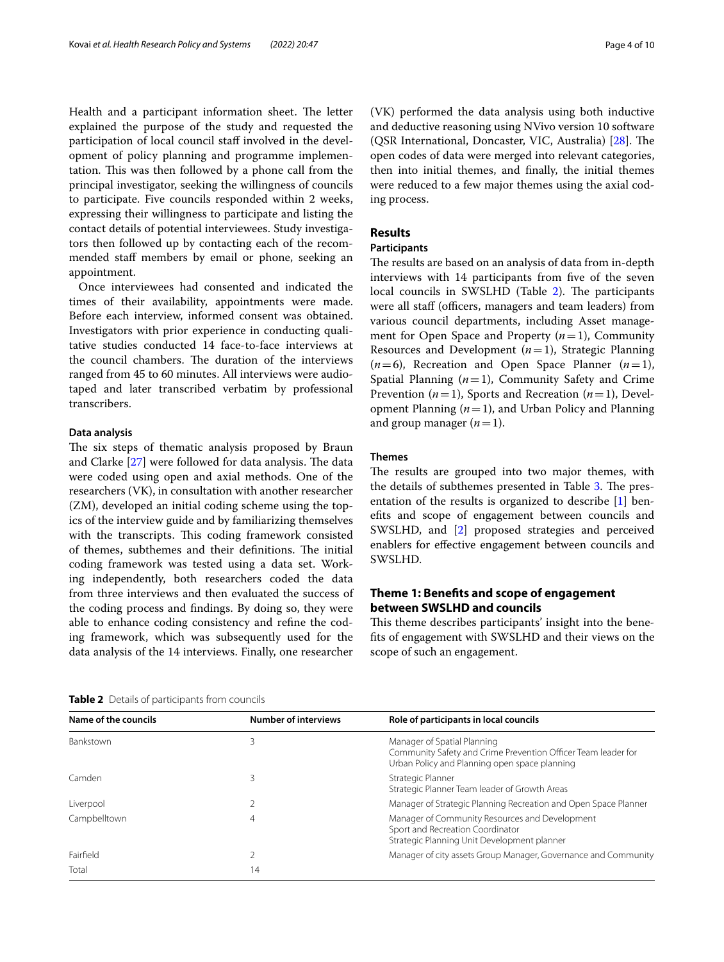Health and a participant information sheet. The letter explained the purpose of the study and requested the participation of local council staf involved in the development of policy planning and programme implementation. This was then followed by a phone call from the principal investigator, seeking the willingness of councils to participate. Five councils responded within 2 weeks, expressing their willingness to participate and listing the contact details of potential interviewees. Study investigators then followed up by contacting each of the recommended staff members by email or phone, seeking an appointment.

Once interviewees had consented and indicated the times of their availability, appointments were made. Before each interview, informed consent was obtained. Investigators with prior experience in conducting qualitative studies conducted 14 face-to-face interviews at the council chambers. The duration of the interviews ranged from 45 to 60 minutes. All interviews were audiotaped and later transcribed verbatim by professional transcribers.

### **Data analysis**

The six steps of thematic analysis proposed by Braun and Clarke  $[27]$  $[27]$  were followed for data analysis. The data were coded using open and axial methods. One of the researchers (VK), in consultation with another researcher (ZM), developed an initial coding scheme using the topics of the interview guide and by familiarizing themselves with the transcripts. This coding framework consisted of themes, subthemes and their definitions. The initial coding framework was tested using a data set. Working independently, both researchers coded the data from three interviews and then evaluated the success of the coding process and fndings. By doing so, they were able to enhance coding consistency and refne the coding framework, which was subsequently used for the data analysis of the 14 interviews. Finally, one researcher (VK) performed the data analysis using both inductive and deductive reasoning using NVivo version 10 software (QSR International, Doncaster, VIC, Australia) [[28\]](#page-9-8). The open codes of data were merged into relevant categories, then into initial themes, and fnally, the initial themes were reduced to a few major themes using the axial coding process.

# **Results**

# **Participants**

The results are based on an analysis of data from in-depth interviews with 14 participants from five of the seven local councils in SWSLHD (Table [2\)](#page-3-0). The participants were all staff (officers, managers and team leaders) from various council departments, including Asset management for Open Space and Property (*n*=1), Community Resources and Development  $(n=1)$ , Strategic Planning  $(n=6)$ , Recreation and Open Space Planner  $(n=1)$ , Spatial Planning  $(n=1)$ , Community Safety and Crime Prevention (*n*=1), Sports and Recreation (*n*=1), Development Planning (*n*=1), and Urban Policy and Planning and group manager  $(n=1)$ .

#### **Themes**

The results are grouped into two major themes, with the details of subthemes presented in Table [3.](#page-4-0) The presentation of the results is organized to describe [\[1](#page-8-0)] benefts and scope of engagement between councils and SWSLHD, and [[2\]](#page-8-1) proposed strategies and perceived enablers for efective engagement between councils and SWSLHD.

# **Theme 1: Benefts and scope of engagement between SWSLHD and councils**

This theme describes participants' insight into the benefts of engagement with SWSLHD and their views on the scope of such an engagement.

<span id="page-3-0"></span>**Table 2** Details of participants from councils

| Name of the councils | <b>Number of interviews</b> | Role of participants in local councils                                                                                                        |
|----------------------|-----------------------------|-----------------------------------------------------------------------------------------------------------------------------------------------|
| Bankstown            | 3                           | Manager of Spatial Planning<br>Community Safety and Crime Prevention Officer Team leader for<br>Urban Policy and Planning open space planning |
| Camden               |                             | Strategic Planner<br>Strategic Planner Team leader of Growth Areas                                                                            |
| Liverpool            |                             | Manager of Strategic Planning Recreation and Open Space Planner                                                                               |
| Campbelltown         | 4                           | Manager of Community Resources and Development<br>Sport and Recreation Coordinator<br>Strategic Planning Unit Development planner             |
| Fairfield            |                             | Manager of city assets Group Manager, Governance and Community                                                                                |
| Total                | 14                          |                                                                                                                                               |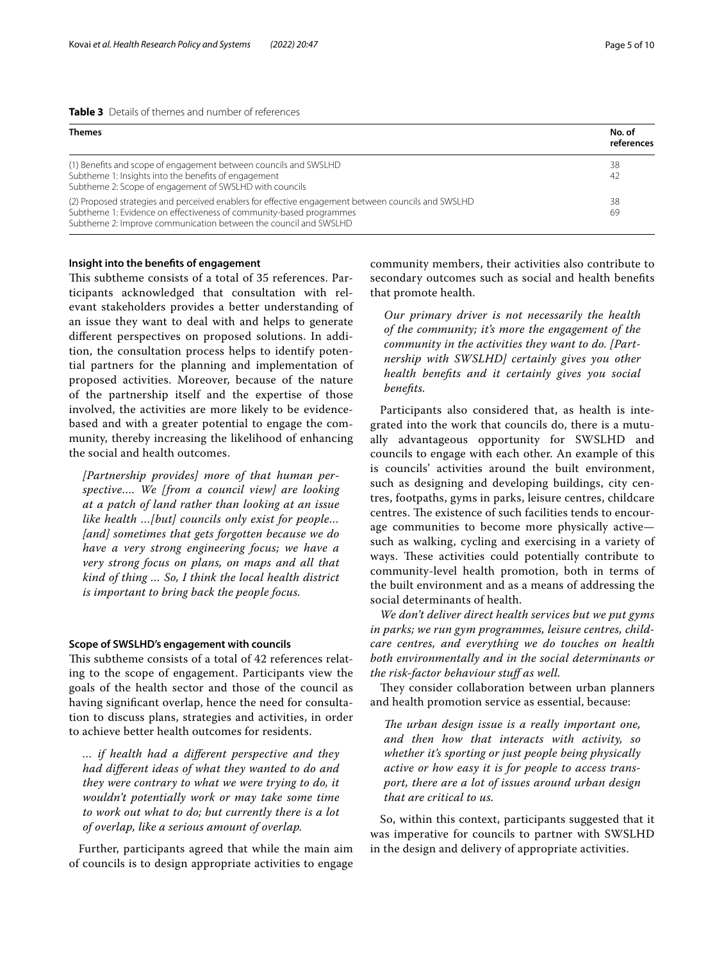<span id="page-4-0"></span>

| <b>Table 3</b> Details of themes and number of references |
|-----------------------------------------------------------|
|-----------------------------------------------------------|

| <b>Themes</b>                                                                                                                                                                                                                                  | No. of<br>references |
|------------------------------------------------------------------------------------------------------------------------------------------------------------------------------------------------------------------------------------------------|----------------------|
| (1) Benefits and scope of engagement between councils and SWSLHD<br>Subtheme 1: Insights into the benefits of engagement<br>Subtheme 2: Scope of engagement of SWSLHD with councils                                                            | 38<br>42             |
| (2) Proposed strategies and perceived enablers for effective engagement between councils and SWSLHD<br>Subtheme 1: Evidence on effectiveness of community-based programmes<br>Subtheme 2: Improve communication between the council and SWSLHD | 38<br>69             |

# **Insight into the benefts of engagement**

This subtheme consists of a total of 35 references. Participants acknowledged that consultation with relevant stakeholders provides a better understanding of an issue they want to deal with and helps to generate diferent perspectives on proposed solutions. In addition, the consultation process helps to identify potential partners for the planning and implementation of proposed activities. Moreover, because of the nature of the partnership itself and the expertise of those involved, the activities are more likely to be evidencebased and with a greater potential to engage the community, thereby increasing the likelihood of enhancing the social and health outcomes.

*[Partnership provides] more of that human perspective…. We [from a council view] are looking at a patch of land rather than looking at an issue like health …[but] councils only exist for people… [and] sometimes that gets forgotten because we do have a very strong engineering focus; we have a very strong focus on plans, on maps and all that kind of thing … So, I think the local health district is important to bring back the people focus.*

## **Scope of SWSLHD's engagement with councils**

This subtheme consists of a total of 42 references relating to the scope of engagement. Participants view the goals of the health sector and those of the council as having signifcant overlap, hence the need for consultation to discuss plans, strategies and activities, in order to achieve better health outcomes for residents.

*… if health had a diferent perspective and they had diferent ideas of what they wanted to do and they were contrary to what we were trying to do, it wouldn't potentially work or may take some time to work out what to do; but currently there is a lot of overlap, like a serious amount of overlap.*

Further, participants agreed that while the main aim of councils is to design appropriate activities to engage community members, their activities also contribute to secondary outcomes such as social and health benefts that promote health.

*Our primary driver is not necessarily the health of the community; it's more the engagement of the community in the activities they want to do. [Partnership with SWSLHD] certainly gives you other health benefts and it certainly gives you social benefts.*

Participants also considered that, as health is integrated into the work that councils do, there is a mutually advantageous opportunity for SWSLHD and councils to engage with each other. An example of this is councils' activities around the built environment, such as designing and developing buildings, city centres, footpaths, gyms in parks, leisure centres, childcare centres. The existence of such facilities tends to encourage communities to become more physically active such as walking, cycling and exercising in a variety of ways. These activities could potentially contribute to community-level health promotion, both in terms of the built environment and as a means of addressing the social determinants of health.

*We don't deliver direct health services but we put gyms in parks; we run gym programmes, leisure centres, childcare centres, and everything we do touches on health both environmentally and in the social determinants or the risk-factor behaviour stuf as well.*

They consider collaboration between urban planners and health promotion service as essential, because:

*The urban design issue is a really important one, and then how that interacts with activity, so whether it's sporting or just people being physically active or how easy it is for people to access transport, there are a lot of issues around urban design that are critical to us.*

So, within this context, participants suggested that it was imperative for councils to partner with SWSLHD in the design and delivery of appropriate activities.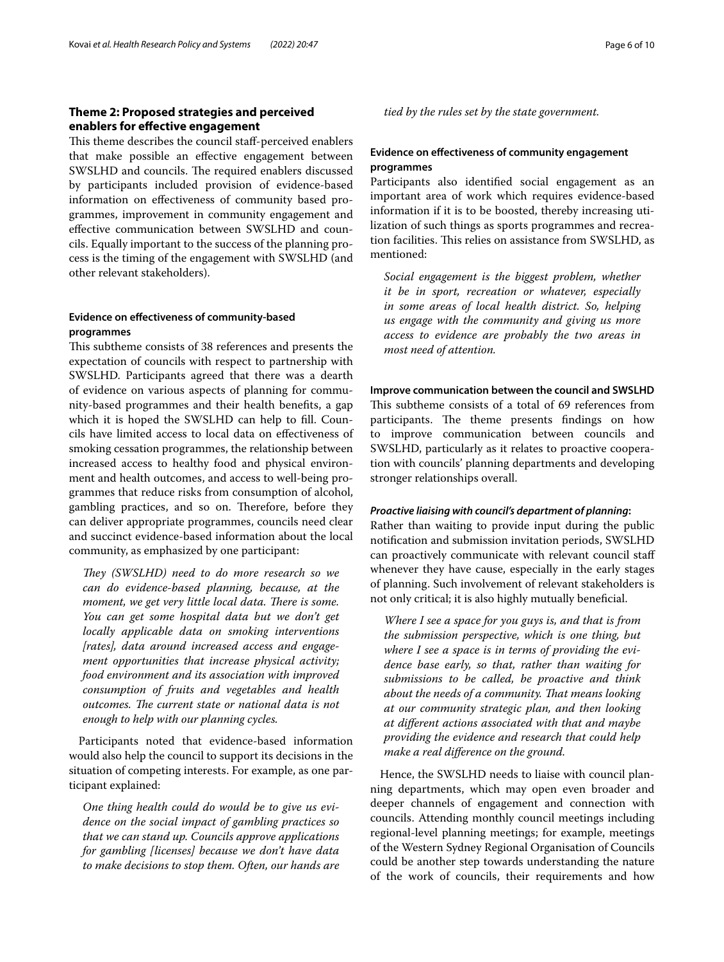# **Theme 2: Proposed strategies and perceived enablers for efective engagement**

This theme describes the council staff-perceived enablers that make possible an efective engagement between SWSLHD and councils. The required enablers discussed by participants included provision of evidence-based information on efectiveness of community based programmes, improvement in community engagement and efective communication between SWSLHD and councils. Equally important to the success of the planning process is the timing of the engagement with SWSLHD (and other relevant stakeholders).

# **Evidence on efectiveness of community-based programmes**

This subtheme consists of 38 references and presents the expectation of councils with respect to partnership with SWSLHD. Participants agreed that there was a dearth of evidence on various aspects of planning for community-based programmes and their health benefts, a gap which it is hoped the SWSLHD can help to fll. Councils have limited access to local data on efectiveness of smoking cessation programmes, the relationship between increased access to healthy food and physical environment and health outcomes, and access to well-being programmes that reduce risks from consumption of alcohol, gambling practices, and so on. Therefore, before they can deliver appropriate programmes, councils need clear and succinct evidence-based information about the local community, as emphasized by one participant:

*They (SWSLHD) need to do more research so we can do evidence-based planning, because, at the moment, we get very little local data. There is some. You can get some hospital data but we don't get locally applicable data on smoking interventions [rates], data around increased access and engagement opportunities that increase physical activity; food environment and its association with improved consumption of fruits and vegetables and health outcomes. The current state or national data is not enough to help with our planning cycles.*

Participants noted that evidence-based information would also help the council to support its decisions in the situation of competing interests. For example, as one participant explained:

*One thing health could do would be to give us evidence on the social impact of gambling practices so that we can stand up. Councils approve applications for gambling [licenses] because we don't have data to make decisions to stop them. Often, our hands are*  *tied by the rules set by the state government.*

# **Evidence on efectiveness of community engagement programmes**

Participants also identifed social engagement as an important area of work which requires evidence-based information if it is to be boosted, thereby increasing utilization of such things as sports programmes and recreation facilities. This relies on assistance from SWSLHD, as mentioned:

*Social engagement is the biggest problem, whether it be in sport, recreation or whatever, especially in some areas of local health district. So, helping us engage with the community and giving us more access to evidence are probably the two areas in most need of attention.*

## **Improve communication between the council and SWSLHD**

This subtheme consists of a total of 69 references from participants. The theme presents findings on how to improve communication between councils and SWSLHD, particularly as it relates to proactive cooperation with councils' planning departments and developing stronger relationships overall.

#### *Proactive liaising with council's department of planning***:**

Rather than waiting to provide input during the public notifcation and submission invitation periods, SWSLHD can proactively communicate with relevant council staf whenever they have cause, especially in the early stages of planning. Such involvement of relevant stakeholders is not only critical; it is also highly mutually benefcial.

*Where I see a space for you guys is, and that is from the submission perspective, which is one thing, but where I see a space is in terms of providing the evidence base early, so that, rather than waiting for submissions to be called, be proactive and think about the needs of a community. Tat means looking at our community strategic plan, and then looking at diferent actions associated with that and maybe providing the evidence and research that could help make a real diference on the ground.*

Hence, the SWSLHD needs to liaise with council planning departments, which may open even broader and deeper channels of engagement and connection with councils. Attending monthly council meetings including regional-level planning meetings; for example, meetings of the Western Sydney Regional Organisation of Councils could be another step towards understanding the nature of the work of councils, their requirements and how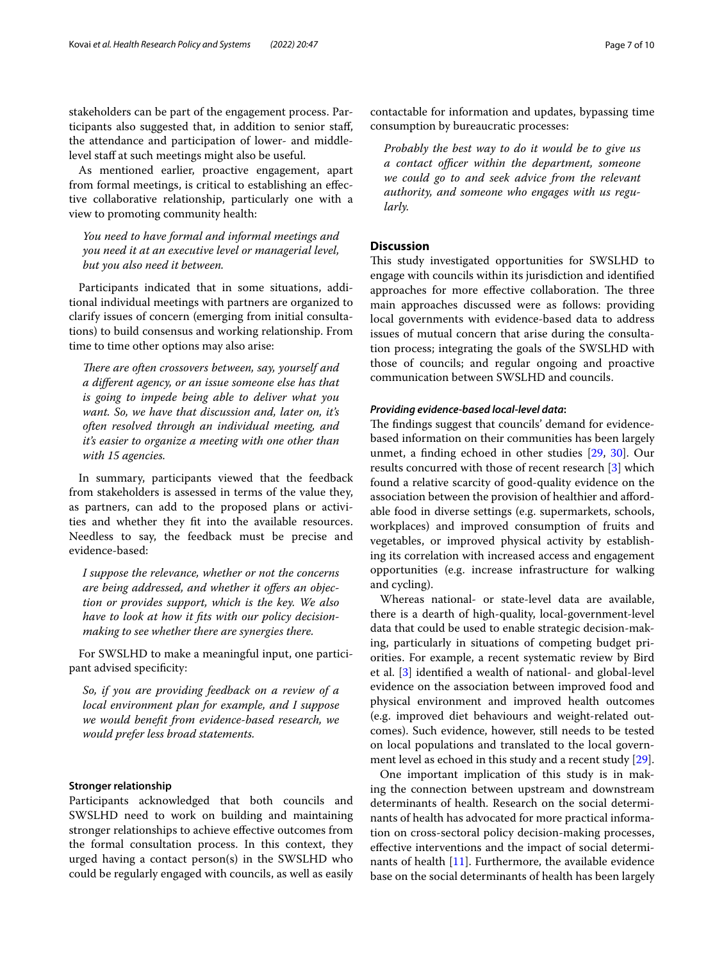stakeholders can be part of the engagement process. Participants also suggested that, in addition to senior staf, the attendance and participation of lower- and middlelevel staff at such meetings might also be useful.

As mentioned earlier, proactive engagement, apart from formal meetings, is critical to establishing an efective collaborative relationship, particularly one with a view to promoting community health:

*You need to have formal and informal meetings and you need it at an executive level or managerial level, but you also need it between.*

Participants indicated that in some situations, additional individual meetings with partners are organized to clarify issues of concern (emerging from initial consultations) to build consensus and working relationship. From time to time other options may also arise:

*There are often crossovers between, say, yourself and a diferent agency, or an issue someone else has that is going to impede being able to deliver what you want. So, we have that discussion and, later on, it's often resolved through an individual meeting, and it's easier to organize a meeting with one other than with 15 agencies.*

In summary, participants viewed that the feedback from stakeholders is assessed in terms of the value they, as partners, can add to the proposed plans or activities and whether they ft into the available resources. Needless to say, the feedback must be precise and evidence-based:

*I suppose the relevance, whether or not the concerns are being addressed, and whether it ofers an objection or provides support, which is the key. We also have to look at how it fts with our policy decisionmaking to see whether there are synergies there.*

For SWSLHD to make a meaningful input, one participant advised specificity:

*So, if you are providing feedback on a review of a local environment plan for example, and I suppose we would beneft from evidence-based research, we would prefer less broad statements.*

#### **Stronger relationship**

Participants acknowledged that both councils and SWSLHD need to work on building and maintaining stronger relationships to achieve efective outcomes from the formal consultation process. In this context, they urged having a contact person(s) in the SWSLHD who could be regularly engaged with councils, as well as easily

contactable for information and updates, bypassing time consumption by bureaucratic processes:

*Probably the best way to do it would be to give us*   $a$  contact officer within the department, someone *we could go to and seek advice from the relevant authority, and someone who engages with us regularly.*

# **Discussion**

This study investigated opportunities for SWSLHD to engage with councils within its jurisdiction and identifed approaches for more effective collaboration. The three main approaches discussed were as follows: providing local governments with evidence-based data to address issues of mutual concern that arise during the consultation process; integrating the goals of the SWSLHD with those of councils; and regular ongoing and proactive communication between SWSLHD and councils.

# *Providing evidence‑based local‑level data***:**

The findings suggest that councils' demand for evidencebased information on their communities has been largely unmet, a fnding echoed in other studies [\[29](#page-9-9), [30](#page-9-10)]. Our results concurred with those of recent research [\[3](#page-8-2)] which found a relative scarcity of good-quality evidence on the association between the provision of healthier and afordable food in diverse settings (e.g. supermarkets, schools, workplaces) and improved consumption of fruits and vegetables, or improved physical activity by establishing its correlation with increased access and engagement opportunities (e.g. increase infrastructure for walking and cycling).

Whereas national- or state-level data are available, there is a dearth of high-quality, local-government-level data that could be used to enable strategic decision-making, particularly in situations of competing budget priorities. For example, a recent systematic review by Bird et al. [\[3](#page-8-2)] identifed a wealth of national- and global-level evidence on the association between improved food and physical environment and improved health outcomes (e.g. improved diet behaviours and weight-related outcomes). Such evidence, however, still needs to be tested on local populations and translated to the local government level as echoed in this study and a recent study [\[29](#page-9-9)].

One important implication of this study is in making the connection between upstream and downstream determinants of health. Research on the social determinants of health has advocated for more practical information on cross-sectoral policy decision-making processes, efective interventions and the impact of social determinants of health [[11\]](#page-8-10). Furthermore, the available evidence base on the social determinants of health has been largely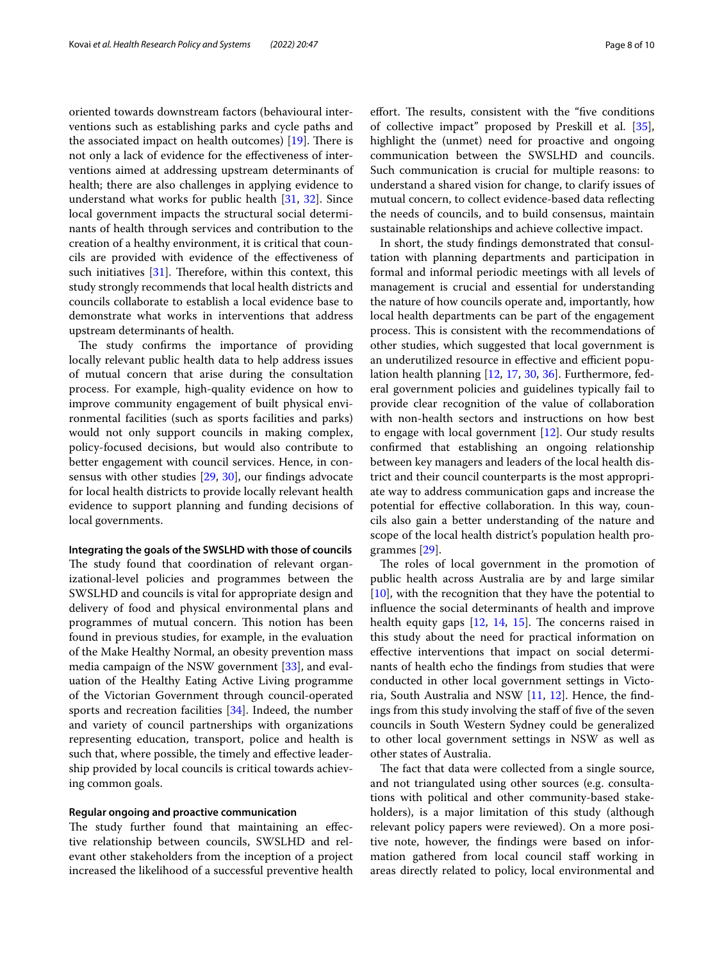oriented towards downstream factors (behavioural interventions such as establishing parks and cycle paths and the associated impact on health outcomes)  $[19]$  $[19]$  $[19]$ . There is not only a lack of evidence for the efectiveness of interventions aimed at addressing upstream determinants of health; there are also challenges in applying evidence to understand what works for public health [\[31](#page-9-11), [32\]](#page-9-12). Since local government impacts the structural social determinants of health through services and contribution to the creation of a healthy environment, it is critical that councils are provided with evidence of the efectiveness of such initiatives  $[31]$  $[31]$ . Therefore, within this context, this study strongly recommends that local health districts and councils collaborate to establish a local evidence base to demonstrate what works in interventions that address upstream determinants of health.

The study confirms the importance of providing locally relevant public health data to help address issues of mutual concern that arise during the consultation process. For example, high-quality evidence on how to improve community engagement of built physical environmental facilities (such as sports facilities and parks) would not only support councils in making complex, policy-focused decisions, but would also contribute to better engagement with council services. Hence, in consensus with other studies [[29,](#page-9-9) [30\]](#page-9-10), our fndings advocate for local health districts to provide locally relevant health evidence to support planning and funding decisions of local governments.

## **Integrating the goals of the SWSLHD with those of councils**

The study found that coordination of relevant organizational-level policies and programmes between the SWSLHD and councils is vital for appropriate design and delivery of food and physical environmental plans and programmes of mutual concern. This notion has been found in previous studies, for example, in the evaluation of the Make Healthy Normal, an obesity prevention mass media campaign of the NSW government [[33\]](#page-9-13), and evaluation of the Healthy Eating Active Living programme of the Victorian Government through council-operated sports and recreation facilities [\[34](#page-9-14)]. Indeed, the number and variety of council partnerships with organizations representing education, transport, police and health is such that, where possible, the timely and effective leadership provided by local councils is critical towards achieving common goals.

## **Regular ongoing and proactive communication**

The study further found that maintaining an effective relationship between councils, SWSLHD and relevant other stakeholders from the inception of a project increased the likelihood of a successful preventive health effort. The results, consistent with the "five conditions of collective impact" proposed by Preskill et al. [\[35](#page-9-15)], highlight the (unmet) need for proactive and ongoing communication between the SWSLHD and councils. Such communication is crucial for multiple reasons: to understand a shared vision for change, to clarify issues of mutual concern, to collect evidence-based data refecting the needs of councils, and to build consensus, maintain sustainable relationships and achieve collective impact.

In short, the study fndings demonstrated that consultation with planning departments and participation in formal and informal periodic meetings with all levels of management is crucial and essential for understanding the nature of how councils operate and, importantly, how local health departments can be part of the engagement process. This is consistent with the recommendations of other studies, which suggested that local government is an underutilized resource in effective and efficient population health planning [[12](#page-8-18), [17](#page-8-15), [30](#page-9-10), [36](#page-9-16)]. Furthermore, federal government policies and guidelines typically fail to provide clear recognition of the value of collaboration with non-health sectors and instructions on how best to engage with local government [[12](#page-8-18)]. Our study results confrmed that establishing an ongoing relationship between key managers and leaders of the local health district and their council counterparts is the most appropriate way to address communication gaps and increase the potential for efective collaboration. In this way, councils also gain a better understanding of the nature and scope of the local health district's population health programmes [\[29\]](#page-9-9).

The roles of local government in the promotion of public health across Australia are by and large similar [[10\]](#page-8-9), with the recognition that they have the potential to infuence the social determinants of health and improve health equity gaps  $[12, 14, 15]$  $[12, 14, 15]$  $[12, 14, 15]$  $[12, 14, 15]$  $[12, 14, 15]$  $[12, 14, 15]$ . The concerns raised in this study about the need for practical information on efective interventions that impact on social determinants of health echo the fndings from studies that were conducted in other local government settings in Victoria, South Australia and NSW [[11,](#page-8-10) [12](#page-8-18)]. Hence, the fndings from this study involving the staff of five of the seven councils in South Western Sydney could be generalized to other local government settings in NSW as well as other states of Australia.

The fact that data were collected from a single source, and not triangulated using other sources (e.g. consultations with political and other community-based stakeholders), is a major limitation of this study (although relevant policy papers were reviewed). On a more positive note, however, the fndings were based on information gathered from local council staff working in areas directly related to policy, local environmental and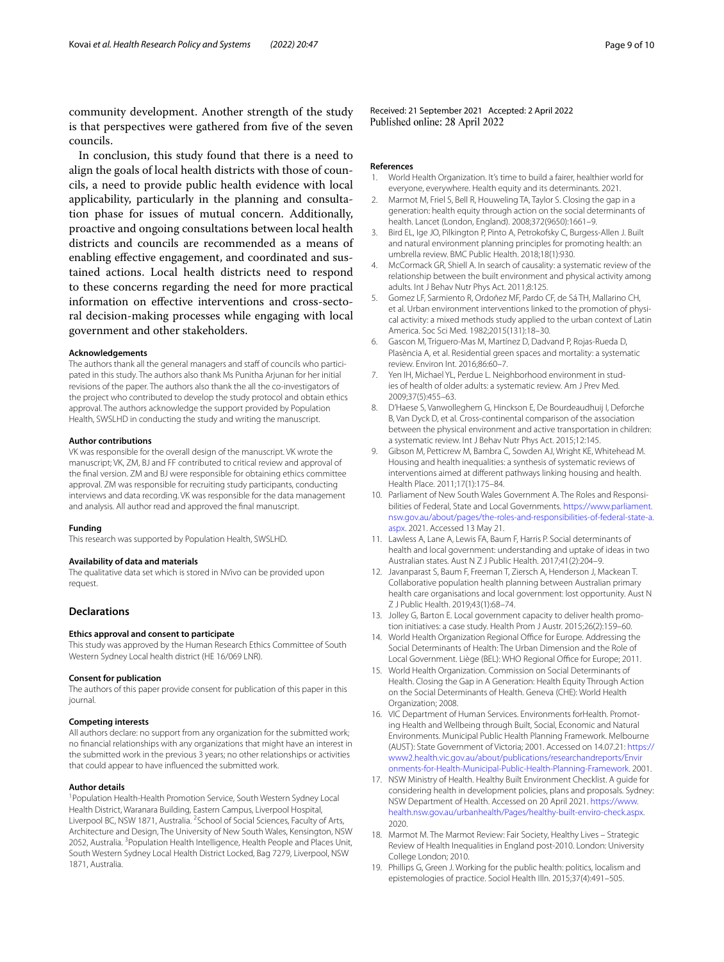community development. Another strength of the study is that perspectives were gathered from five of the seven councils.

In conclusion, this study found that there is a need to align the goals of local health districts with those of councils, a need to provide public health evidence with local applicability, particularly in the planning and consultation phase for issues of mutual concern. Additionally, proactive and ongoing consultations between local health districts and councils are recommended as a means of enabling efective engagement, and coordinated and sustained actions. Local health districts need to respond to these concerns regarding the need for more practical information on efective interventions and cross-sectoral decision-making processes while engaging with local government and other stakeholders.

#### **Acknowledgements**

The authors thank all the general managers and staff of councils who participated in this study. The authors also thank Ms Punitha Arjunan for her initial revisions of the paper. The authors also thank the all the co-investigators of the project who contributed to develop the study protocol and obtain ethics approval. The authors acknowledge the support provided by Population Health, SWSLHD in conducting the study and writing the manuscript.

#### **Author contributions**

VK was responsible for the overall design of the manuscript. VK wrote the manuscript; VK, ZM, BJ and FF contributed to critical review and approval of the fnal version. ZM and BJ were responsible for obtaining ethics committee approval. ZM was responsible for recruiting study participants, conducting interviews and data recording. VK was responsible for the data management and analysis. All author read and approved the fnal manuscript.

#### **Funding**

This research was supported by Population Health, SWSLHD.

#### **Availability of data and materials**

The qualitative data set which is stored in NVivo can be provided upon request.

#### **Declarations**

#### **Ethics approval and consent to participate**

This study was approved by the Human Research Ethics Committee of South Western Sydney Local health district (HE 16/069 LNR).

## **Consent for publication**

The authors of this paper provide consent for publication of this paper in this journal.

## **Competing interests**

All authors declare: no support from any organization for the submitted work; no fnancial relationships with any organizations that might have an interest in the submitted work in the previous 3 years; no other relationships or activities that could appear to have infuenced the submitted work.

#### **Author details**

<sup>1</sup> Population Health-Health Promotion Service, South Western Sydney Local Health District, Waranara Building, Eastern Campus, Liverpool Hospital, Liverpool BC, NSW 1871, Australia. <sup>2</sup> School of Social Sciences, Faculty of Arts, Architecture and Design, The University of New South Wales, Kensington, NSW 2052, Australia. <sup>3</sup> Population Health Intelligence, Health People and Places Unit, South Western Sydney Local Health District Locked, Bag 7279, Liverpool, NSW 1871, Australia.

Received: 21 September 2021 Accepted: 2 April 2022 Published online: 28 April 2022

#### **References**

- <span id="page-8-0"></span>1. World Health Organization. It's time to build a fairer, healthier world for everyone, everywhere. Health equity and its determinants. 2021.
- <span id="page-8-1"></span>2. Marmot M, Friel S, Bell R, Houweling TA, Taylor S. Closing the gap in a generation: health equity through action on the social determinants of health. Lancet (London, England). 2008;372(9650):1661–9.
- <span id="page-8-2"></span>3. Bird EL, Ige JO, Pilkington P, Pinto A, Petrokofsky C, Burgess-Allen J. Built and natural environment planning principles for promoting health: an umbrella review. BMC Public Health. 2018;18(1):930.
- <span id="page-8-3"></span>4. McCormack GR, Shiell A. In search of causality: a systematic review of the relationship between the built environment and physical activity among adults. Int J Behav Nutr Phys Act. 2011;8:125.
- <span id="page-8-4"></span>5. Gomez LF, Sarmiento R, Ordoñez MF, Pardo CF, de Sá TH, Mallarino CH, et al. Urban environment interventions linked to the promotion of physical activity: a mixed methods study applied to the urban context of Latin America. Soc Sci Med. 1982;2015(131):18–30.
- <span id="page-8-5"></span>6. Gascon M, Triguero-Mas M, Martínez D, Dadvand P, Rojas-Rueda D, Plasència A, et al. Residential green spaces and mortality: a systematic review. Environ Int. 2016;86:60–7.
- <span id="page-8-6"></span>7. Yen IH, Michael YL, Perdue L. Neighborhood environment in studies of health of older adults: a systematic review. Am J Prev Med. 2009;37(5):455–63.
- <span id="page-8-7"></span>8. D'Haese S, Vanwolleghem G, Hinckson E, De Bourdeaudhuij I, Deforche B, Van Dyck D, et al. Cross-continental comparison of the association between the physical environment and active transportation in children: a systematic review. Int J Behav Nutr Phys Act. 2015;12:145.
- <span id="page-8-8"></span>9. Gibson M, Petticrew M, Bambra C, Sowden AJ, Wright KE, Whitehead M. Housing and health inequalities: a synthesis of systematic reviews of interventions aimed at diferent pathways linking housing and health. Health Place. 2011;17(1):175–84.
- <span id="page-8-9"></span>10. Parliament of New South Wales Government A. The Roles and Responsibilities of Federal, State and Local Governments. [https://www.parliament.](https://www.parliament.nsw.gov.au/about/pages/the-roles-and-responsibilities-of-federal-state-a.aspx) [nsw.gov.au/about/pages/the-roles-and-responsibilities-of-federal-state-a.](https://www.parliament.nsw.gov.au/about/pages/the-roles-and-responsibilities-of-federal-state-a.aspx) [aspx](https://www.parliament.nsw.gov.au/about/pages/the-roles-and-responsibilities-of-federal-state-a.aspx). 2021. Accessed 13 May 21.
- <span id="page-8-10"></span>11. Lawless A, Lane A, Lewis FA, Baum F, Harris P. Social determinants of health and local government: understanding and uptake of ideas in two Australian states. Aust N Z J Public Health. 2017;41(2):204–9.
- <span id="page-8-18"></span>12. Javanparast S, Baum F, Freeman T, Ziersch A, Henderson J, Mackean T. Collaborative population health planning between Australian primary health care organisations and local government: lost opportunity. Aust N Z J Public Health. 2019;43(1):68–74.
- <span id="page-8-11"></span>13. Jolley G, Barton E. Local government capacity to deliver health promotion initiatives: a case study. Health Prom J Austr. 2015;26(2):159–60.
- <span id="page-8-12"></span>14. World Health Organization Regional Office for Europe. Addressing the Social Determinants of Health: The Urban Dimension and the Role of Local Government. Liège (BEL): WHO Regional Office for Europe; 2011.
- <span id="page-8-13"></span>15. World Health Organization. Commission on Social Determinants of Health. Closing the Gap in A Generation: Health Equity Through Action on the Social Determinants of Health. Geneva (CHE): World Health Organization; 2008.
- <span id="page-8-14"></span>16. VIC Department of Human Services. Environments forHealth. Promoting Health and Wellbeing through Built, Social, Economic and Natural Environments. Municipal Public Health Planning Framework. Melbourne (AUST): State Government of Victoria; 2001. Accessed on 14.07.21: [https://](https://www2.health.vic.gov.au/about/publications/researchandreports/Environments-for-Health-Municipal-Public-Health-Planning-Framework) [www2.health.vic.gov.au/about/publications/researchandreports/Envir](https://www2.health.vic.gov.au/about/publications/researchandreports/Environments-for-Health-Municipal-Public-Health-Planning-Framework) [onments-for-Health-Municipal-Public-Health-Planning-Framework](https://www2.health.vic.gov.au/about/publications/researchandreports/Environments-for-Health-Municipal-Public-Health-Planning-Framework). 2001.
- <span id="page-8-15"></span>17. NSW Ministry of Health. Healthy Built Environment Checklist. A guide for considering health in development policies, plans and proposals. Sydney: NSW Department of Health. Accessed on 20 April 2021. [https://www.](https://www.health.nsw.gov.au/urbanhealth/Pages/healthy-built-enviro-check.aspx) [health.nsw.gov.au/urbanhealth/Pages/healthy-built-enviro-check.aspx](https://www.health.nsw.gov.au/urbanhealth/Pages/healthy-built-enviro-check.aspx). 2020.
- <span id="page-8-16"></span>18. Marmot M. The Marmot Review: Fair Society, Healthy Lives – Strategic Review of Health Inequalities in England post-2010. London: University College London; 2010.
- <span id="page-8-17"></span>19. Phillips G, Green J. Working for the public health: politics, localism and epistemologies of practice. Sociol Health Illn. 2015;37(4):491–505.